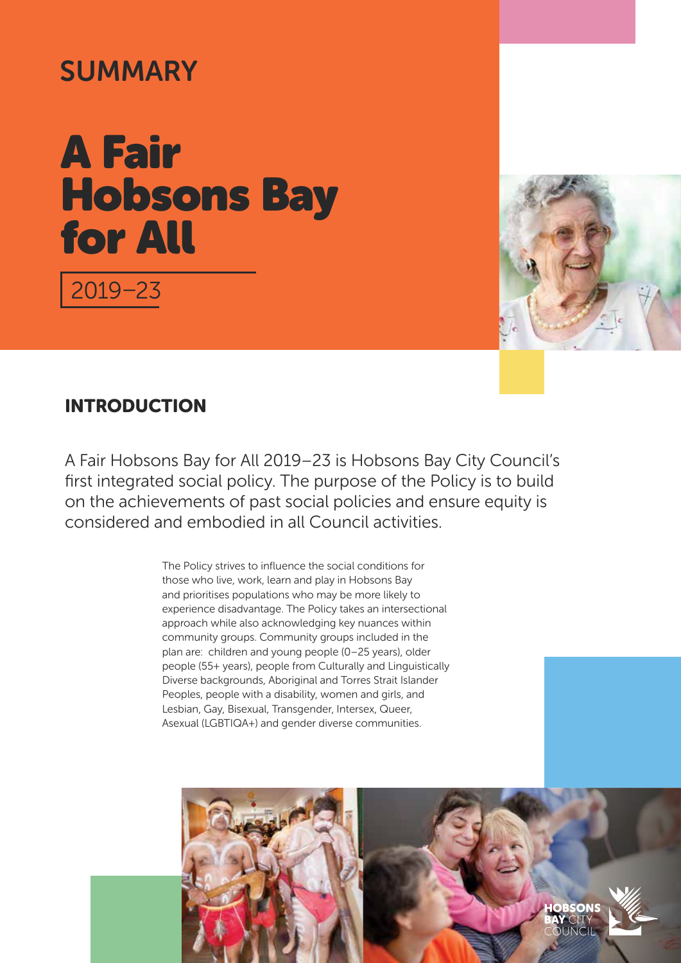# **SUMMARY**

# A Fair Hobsons Bay for All

2019–23



## INTRODUCTION

A Fair Hobsons Bay for All 2019–23 is Hobsons Bay City Council's first integrated social policy. The purpose of the Policy is to build on the achievements of past social policies and ensure equity is considered and embodied in all Council activities.

> The Policy strives to influence the social conditions for those who live, work, learn and play in Hobsons Bay and prioritises populations who may be more likely to experience disadvantage. The Policy takes an intersectional approach while also acknowledging key nuances within community groups. Community groups included in the plan are: children and young people (0–25 years), older people (55+ years), people from Culturally and Linguistically Diverse backgrounds, Aboriginal and Torres Strait Islander Peoples, people with a disability, women and girls, and Lesbian, Gay, Bisexual, Transgender, Intersex, Queer, Asexual (LGBTIQA+) and gender diverse communities.